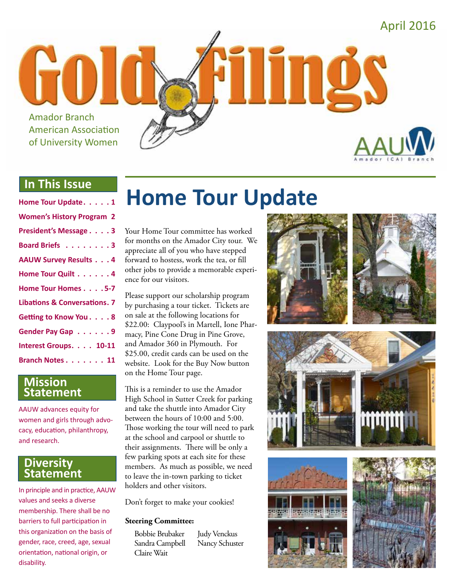

#### **In This Issue**

#### **Mission Statement**

AAUW advances equity for women and girls through advocacy, education, philanthropy, and research.

#### **Diversity Statement**

In principle and in practice, AAUW values and seeks a diverse membership. There shall be no barriers to full participation in this organization on the basis of gender, race, creed, age, sexual orientation, national origin, or disability.

# **Home Tour Update**

Your Home Tour committee has worked for months on the Amador City tour. We appreciate all of you who have stepped forward to hostess, work the tea, or fill other jobs to provide a memorable experience for our visitors.

Please support our scholarship program by purchasing a tour ticket. Tickets are on sale at the following locations for \$22.00: Claypool's in Martell, Ione Pharmacy, Pine Cone Drug in Pine Grove, and Amador 360 in Plymouth. For \$25.00, credit cards can be used on the website. Look for the Buy Now button on the Home Tour page.

This is a reminder to use the Amador High School in Sutter Creek for parking and take the shuttle into Amador City between the hours of 10:00 and 5:00. Those working the tour will need to park at the school and carpool or shuttle to their assignments. There will be only a few parking spots at each site for these members. As much as possible, we need to leave the in-town parking to ticket holders and other visitors.

Don't forget to make your cookies!

#### **Steering Committee:**

Bobbie Brubaker Sandra Campbell Claire Wait

Judy Venckus Nancy Schuster









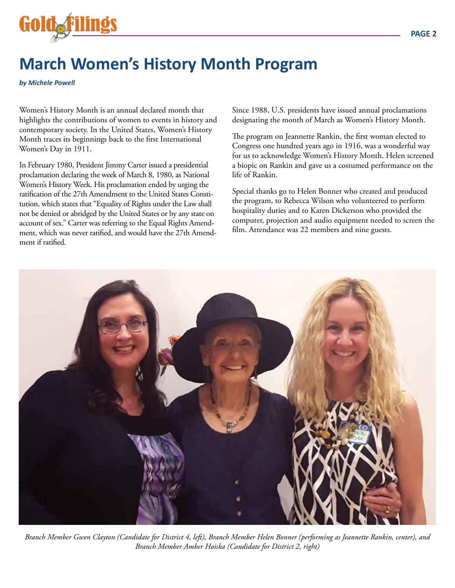

## **March Women's History Month Program**

*by Michele Powell*

Women's History Month is an annual declared month that highlights the contributions of women to events in history and contemporary society. In the United States, Women's History Month traces its beginnings back to the first International Women's Day in 1911.

In February 1980, President Jimmy Carter issued a presidential proclamation declaring the week of March 8, 1980, as National Women's History Week. His proclamation ended by urging the ratification of the 27th Amendment to the United States Constitution, which states that "Equality of Rights under the Law shall not be denied or abridged by the United States or by any state on account of sex." Carter was referring to the Equal Rights Amendment, which was never ratified, and would have the 27th Amendment if ratified.

Since 1988, U.S. presidents have issued annual proclamations designating the month of March as Women's History Month.

The program on Jeannette Rankin, the first woman elected to Congress one hundred years ago in 1916, was a wonderful way for us to acknowledge Women's History Month. Helen screened a biopic on Rankin and gave us a costumed performance on the life of Rankin.

Special thanks go to Helen Bonner who created and produced the program, to Rebecca Wilson who volunteered to perform hospitality duties and to Karen Dickerson who provided the computer, projection and audio equipment needed to screen the film. Attendance was 22 members and nine guests.



*Branch Member Gwen Clayton (Candidate for District 4, left), Branch Member Helen Bonner (performing as Jeannette Rankin, center), and Branch Member Amber Hoiska (Candidate for District 2, right)*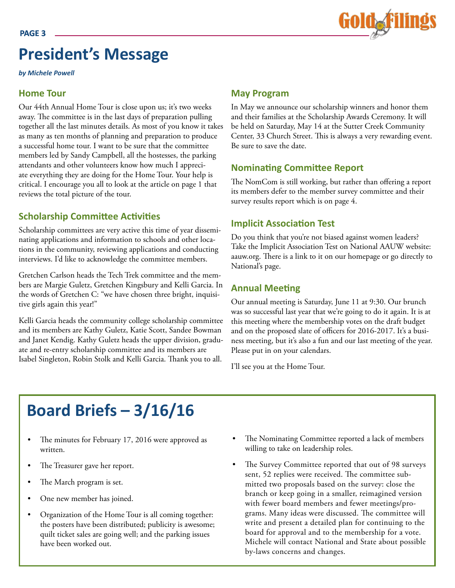

## **President's Message**

*by Michele Powell*

#### **Home Tour**

Our 44th Annual Home Tour is close upon us; it's two weeks away. The committee is in the last days of preparation pulling together all the last minutes details. As most of you know it takes as many as ten months of planning and preparation to produce a successful home tour. I want to be sure that the committee members led by Sandy Campbell, all the hostesses, the parking attendants and other volunteers know how much I appreciate everything they are doing for the Home Tour. Your help is critical. I encourage you all to look at the article on page 1 that reviews the total picture of the tour.

#### **Scholarship Committee Activities**

Scholarship committees are very active this time of year disseminating applications and information to schools and other locations in the community, reviewing applications and conducting interviews. I'd like to acknowledge the committee members.

Gretchen Carlson heads the Tech Trek committee and the members are Margie Guletz, Gretchen Kingsbury and Kelli Garcia. In the words of Gretchen C: "we have chosen three bright, inquisitive girls again this year!"

Kelli Garcia heads the community college scholarship committee and its members are Kathy Guletz, Katie Scott, Sandee Bowman and Janet Kendig. Kathy Guletz heads the upper division, graduate and re-entry scholarship committee and its members are Isabel Singleton, Robin Stolk and Kelli Garcia. Thank you to all.

#### **May Program**

In May we announce our scholarship winners and honor them and their families at the Scholarship Awards Ceremony. It will be held on Saturday, May 14 at the Sutter Creek Community Center, 33 Church Street. This is always a very rewarding event. Be sure to save the date.

#### **Nominating Committee Report**

The NomCom is still working, but rather than offering a report its members defer to the member survey committee and their survey results report which is on page 4.

#### **Implicit Association Test**

Do you think that you're not biased against women leaders? Take the Implicit Association Test on National AAUW website: aauw.org. There is a link to it on our homepage or go directly to National's page.

#### **Annual Meeting**

Our annual meeting is Saturday, June 11 at 9:30. Our brunch was so successful last year that we're going to do it again. It is at this meeting where the membership votes on the draft budget and on the proposed slate of officers for 2016-2017. It's a business meeting, but it's also a fun and our last meeting of the year. Please put in on your calendars.

I'll see you at the Home Tour.

## **Board Briefs – 3/16/16**

- The minutes for February 17, 2016 were approved as written.
- The Treasurer gave her report.
- The March program is set.
- One new member has joined.
- Organization of the Home Tour is all coming together: the posters have been distributed; publicity is awesome; quilt ticket sales are going well; and the parking issues have been worked out.
- The Nominating Committee reported a lack of members willing to take on leadership roles.
- The Survey Committee reported that out of 98 surveys sent, 52 replies were received. The committee submitted two proposals based on the survey: close the branch or keep going in a smaller, reimagined version with fewer board members and fewer meetings/programs. Many ideas were discussed. The committee will write and present a detailed plan for continuing to the board for approval and to the membership for a vote. Michele will contact National and State about possible by-laws concerns and changes.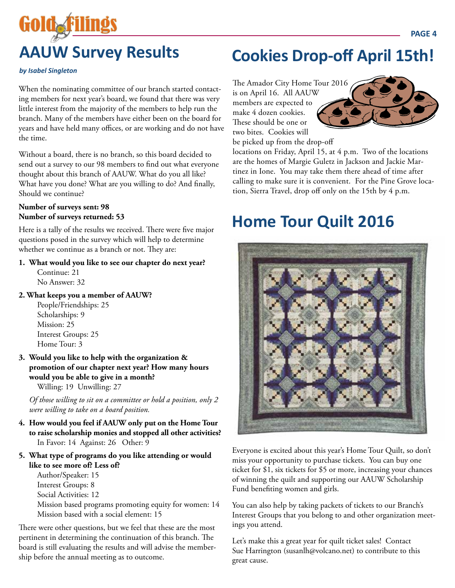# **AAUW Survey Results**

#### *by Isabel Singleton*

Goldaf

When the nominating committee of our branch started contacting members for next year's board, we found that there was very little interest from the majority of the members to help run the branch. Many of the members have either been on the board for years and have held many offices, or are working and do not have the time.

Without a board, there is no branch, so this board decided to send out a survey to our 98 members to find out what everyone thought about this branch of AAUW. What do you all like? What have you done? What are you willing to do? And finally, Should we continue?

#### **Number of surveys sent: 98 Number of surveys returned: 53**

Here is a tally of the results we received. There were five major questions posed in the survey which will help to determine whether we continue as a branch or not. They are:

#### **1. What would you like to see our chapter do next year?**

 Continue: 21 No Answer: 32

#### **2. What keeps you a member of AAUW?**

 People/Friendships: 25 Scholarships: 9 Mission: 25 Interest Groups: 25 Home Tour: 3

**3. Would you like to help with the organization & promotion of our chapter next year? How many hours would you be able to give in a month?**  Willing: 19 Unwilling: 27

*Of those willing to sit on a committee or hold a position, only 2 were willing to take on a board position.*

- **4. How would you feel if AAUW only put on the Home Tour to raise scholarship monies and stopped all other activities?**  In Favor: 14 Against: 26 Other: 9
- **5. What type of programs do you like attending or would like to see more of? Less of?**

 Author/Speaker: 15 Interest Groups: 8 Social Activities: 12 Mission based programs promoting equity for women: 14 Mission based with a social element: 15

There were other questions, but we feel that these are the most pertinent in determining the continuation of this branch. The board is still evaluating the results and will advise the membership before the annual meeting as to outcome.

## **Cookies Drop-off April 15th!**

The Amador City Home Tour 2016 is on April 16. All AAUW members are expected to make 4 dozen cookies. These should be one or two bites. Cookies will be picked up from the drop-off



locations on Friday, April 15, at 4 p.m. Two of the locations are the homes of Margie Guletz in Jackson and Jackie Martinez in Ione. You may take them there ahead of time after calling to make sure it is convenient. For the Pine Grove location, Sierra Travel, drop off only on the 15th by 4 p.m.

## **Home Tour Quilt 2016**



Everyone is excited about this year's Home Tour Quilt, so don't miss your opportunity to purchase tickets. You can buy one ticket for \$1, six tickets for \$5 or more, increasing your chances of winning the quilt and supporting our AAUW Scholarship Fund benefiting women and girls.

You can also help by taking packets of tickets to our Branch's Interest Groups that you belong to and other organization meetings you attend.

Let's make this a great year for quilt ticket sales! Contact Sue Harrington (susanlh@volcano.net) to contribute to this great cause.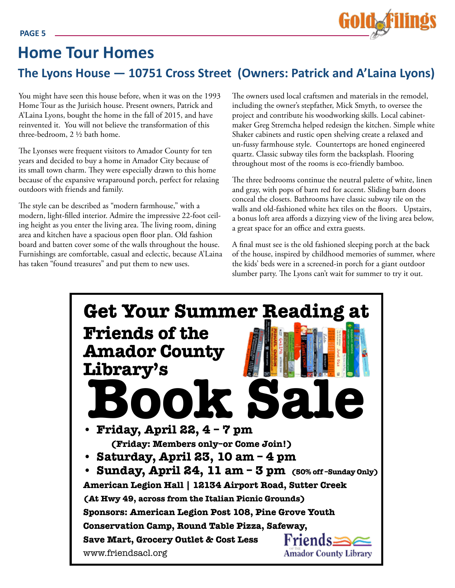

## **Home Tour Homes**

### **The Lyons House — 10751 Cross Street (Owners: Patrick and A'Laina Lyons)**

You might have seen this house before, when it was on the 1993 Home Tour as the Jurisich house. Present owners, Patrick and A'Laina Lyons, bought the home in the fall of 2015, and have reinvented it. You will not believe the transformation of this three-bedroom, 2 ½ bath home.

The Lyonses were frequent visitors to Amador County for ten years and decided to buy a home in Amador City because of its small town charm. They were especially drawn to this home because of the expansive wraparound porch, perfect for relaxing outdoors with friends and family.

The style can be described as "modern farmhouse," with a modern, light-filled interior. Admire the impressive 22-foot ceiling height as you enter the living area. The living room, dining area and kitchen have a spacious open floor plan. Old fashion board and batten cover some of the walls throughout the house. Furnishings are comfortable, casual and eclectic, because A'Laina has taken "found treasures" and put them to new uses.

The owners used local craftsmen and materials in the remodel, including the owner's stepfather, Mick Smyth, to oversee the project and contribute his woodworking skills. Local cabinetmaker Greg Stremcha helped redesign the kitchen. Simple white Shaker cabinets and rustic open shelving create a relaxed and un-fussy farmhouse style. Countertops are honed engineered quartz. Classic subway tiles form the backsplash. Flooring throughout most of the rooms is eco-friendly bamboo.

The three bedrooms continue the neutral palette of white, linen and gray, with pops of barn red for accent. Sliding barn doors conceal the closets. Bathrooms have classic subway tile on the walls and old-fashioned white hex tiles on the floors. Upstairs, a bonus loft area affords a dizzying view of the living area below, a great space for an office and extra guests.

A final must see is the old fashioned sleeping porch at the back of the house, inspired by childhood memories of summer, where the kids' beds were in a screened-in porch for a giant outdoor slumber party. The Lyons can't wait for summer to try it out.

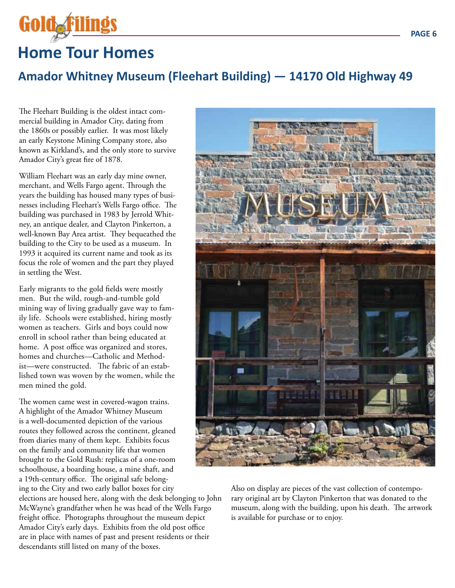

## **Home Tour Homes**

#### **Amador Whitney Museum (Fleehart Building) — 14170 Old Highway 49**

The Fleehart Building is the oldest intact commercial building in Amador City, dating from the 1860s or possibly earlier. It was most likely an early Keystone Mining Company store, also known as Kirkland's, and the only store to survive Amador City's great fire of 1878.

William Fleehart was an early day mine owner, merchant, and Wells Fargo agent. Through the years the building has housed many types of businesses including Fleehart's Wells Fargo office. The building was purchased in 1983 by Jerrold Whitney, an antique dealer, and Clayton Pinkerton, a well-known Bay Area artist. They bequeathed the building to the City to be used as a museum. In 1993 it acquired its current name and took as its focus the role of women and the part they played in settling the West.

Early migrants to the gold fields were mostly men. But the wild, rough-and-tumble gold mining way of living gradually gave way to family life. Schools were established, hiring mostly women as teachers. Girls and boys could now enroll in school rather than being educated at home. A post office was organized and stores, homes and churches—Catholic and Methodist—were constructed. The fabric of an established town was woven by the women, while the men mined the gold.

The women came west in covered-wagon trains. A highlight of the Amador Whitney Museum is a well-documented depiction of the various routes they followed across the continent, gleaned from diaries many of them kept. Exhibits focus on the family and community life that women brought to the Gold Rush: replicas of a one-room schoolhouse, a boarding house, a mine shaft, and a 19th-century office. The original safe belonging to the City and two early ballot boxes for city elections are housed here, along with the desk belonging to John McWayne's grandfather when he was head of the Wells Fargo freight office. Photographs throughout the museum depict Amador City's early days. Exhibits from the old post office are in place with names of past and present residents or their descendants still listed on many of the boxes.



Also on display are pieces of the vast collection of contemporary original art by Clayton Pinkerton that was donated to the museum, along with the building, upon his death. The artwork is available for purchase or to enjoy.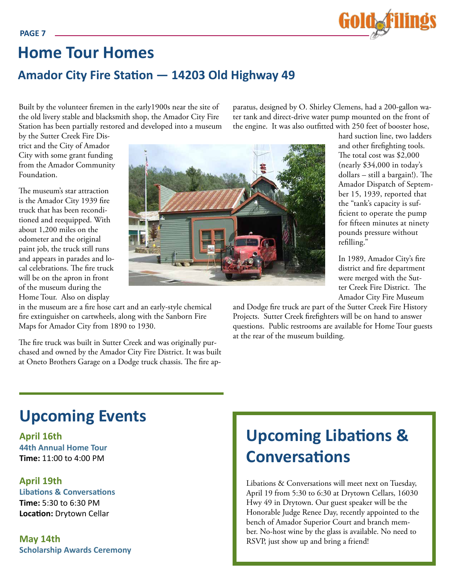

## **Amador City Fire Station — 14203 Old Highway 49 Home Tour Homes**

Built by the volunteer firemen in the early1900s near the site of the old livery stable and blacksmith shop, the Amador City Fire Station has been partially restored and developed into a museum paratus, designed by O. Shirley Clemens, had a 200-gallon water tank and direct-drive water pump mounted on the front of the engine. It was also outfitted with 250 feet of booster hose,

by the Sutter Creek Fire District and the City of Amador City with some grant funding from the Amador Community Foundation.

The museum's star attraction is the Amador City 1939 fire truck that has been reconditioned and reequipped. With about 1,200 miles on the odometer and the original paint job, the truck still runs and appears in parades and local celebrations. The fire truck will be on the apron in front of the museum during the Home Tour. Also on display



The fire truck was built in Sutter Creek and was originally purchased and owned by the Amador City Fire District. It was built at Oneto Brothers Garage on a Dodge truck chassis. The fire ap-



hard suction line, two ladders and other firefighting tools. The total cost was \$2,000 (nearly \$34,000 in today's dollars – still a bargain!). The Amador Dispatch of September 15, 1939, reported that the "tank's capacity is sufficient to operate the pump for fifteen minutes at ninety pounds pressure without refilling."

In 1989, Amador City's fire district and fire department were merged with the Sutter Creek Fire District. The Amador City Fire Museum

and Dodge fire truck are part of the Sutter Creek Fire History Projects. Sutter Creek firefighters will be on hand to answer questions. Public restrooms are available for Home Tour guests at the rear of the museum building.

## **Upcoming Events**

**April 16th 44th Annual Home Tour Time:** 11:00 to 4:00 PM

#### **April 19th Libations & Conversations Time:** 5:30 to 6:30 PM **Location:** Drytown Cellar

**May 14th Scholarship Awards Ceremony**

## **Upcoming Libations & Conversations**

Libations & Conversations will meet next on Tuesday, April 19 from 5:30 to 6:30 at Drytown Cellars, 16030 Hwy 49 in Drytown. Our guest speaker will be the Honorable Judge Renee Day, recently appointed to the bench of Amador Superior Court and branch member. No-host wine by the glass is available. No need to RSVP, just show up and bring a friend!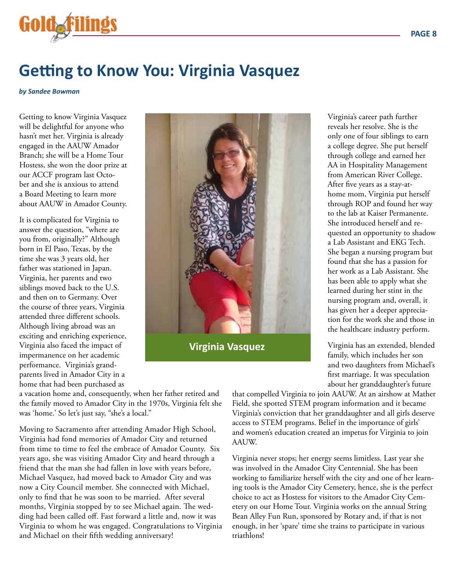

## **Getting to Know You: Virginia Vasquez**

*by Sandee Bowman*

Getting to know Virginia Vasquez will be delightful for anyone who hasn't met her. Virginia is already engaged in the AAUW Amador Branch; she will be a Home Tour Hostess, she won the door prize at our ACCF program last October and she is anxious to attend a Board Meeting to learn more about AAUW in Amador County.

It is complicated for Virginia to answer the question, "where are you from, originally?" Although born in El Paso, Texas, by the time she was 3 years old, her father was stationed in Japan. Virginia, her parents and two siblings moved back to the U.S. and then on to Germany. Over the course of three years, Virginia attended three different schools. Although living abroad was an exciting and enriching experience, Virginia also faced the impact of impermanence on her academic performance. Virginia's grandparents lived in Amador City in a home that had been purchased as



**Virginia Vasquez**

Virginia's career path further reveals her resolve. She is the only one of four siblings to earn a college degree. She put herself through college and earned her AA in Hospitality Management from American River College. After five years as a stay-athome mom, Virginia put herself through ROP and found her way to the lab at Kaiser Permanente. She introduced herself and requested an opportunity to shadow a Lab Assistant and EKG Tech. She began a nursing program but found that she has a passion for her work as a Lab Assistant. She has been able to apply what she learned during her stint in the nursing program and, overall, it has given her a deeper appreciation for the work she and those in the healthcare industry perform.

Virginia has an extended, blended family, which includes her son and two daughters from Michael's first marriage. It was speculation about her granddaughter's future

a vacation home and, consequently, when her father retired and the family moved to Amador City in the 1970s, Virginia felt she was 'home.' So let's just say, "she's a local."

Moving to Sacramento after attending Amador High School, Virginia had fond memories of Amador City and returned from time to time to feel the embrace of Amador County. Six years ago, she was visiting Amador City and heard through a friend that the man she had fallen in love with years before, Michael Vasquez, had moved back to Amador City and was now a City Council member. She connected with Michael, only to find that he was soon to be married. After several months, Virginia stopped by to see Michael again. The wedding had been called off. Fast forward a little and, now it was Virginia to whom he was engaged. Congratulations to Virginia and Michael on their fifth wedding anniversary!

that compelled Virginia to join AAUW. At an airshow at Mather Field, she spotted STEM program information and it became Virginia's conviction that her granddaughter and all girls deserve access to STEM programs. Belief in the importance of girls' and women's education created an impetus for Virginia to join AAUW.

Virginia never stops; her energy seems limitless. Last year she was involved in the Amador City Centennial. She has been working to familiarize herself with the city and one of her learning tools is the Amador City Cemetery, hence, she is the perfect choice to act as Hostess for visitors to the Amador City Cemetery on our Home Tour. Virginia works on the annual String Bean Alley Fun Run, sponsored by Rotary and, if that is not enough, in her 'spare' time she trains to participate in various triathlons!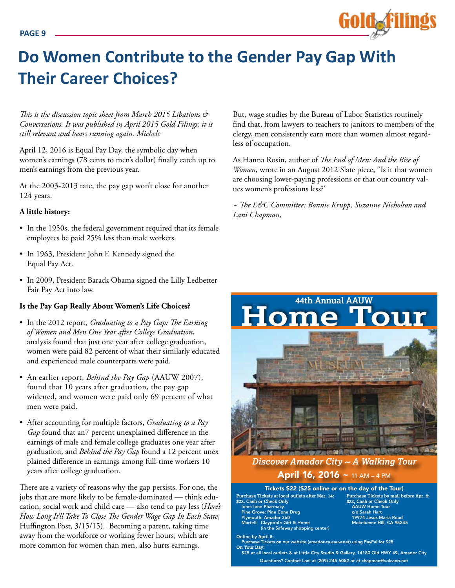## **Do Women Contribute to the Gender Pay Gap With Their Career Choices?**

*This is the discussion topic sheet from March 2015 Libations & Conversations. It was published in April 2015 Gold Filings; it is still relevant and bears running again. Michele*

April 12, 2016 is Equal Pay Day, the symbolic day when women's earnings (78 cents to men's dollar) finally catch up to men's earnings from the previous year.

At the 2003-2013 rate, the pay gap won't close for another 124 years.

#### **A little history:**

- In the 1950s, the federal government required that its female employees be paid 25% less than male workers.
- In 1963, President John F. Kennedy signed the Equal Pay Act.
- In 2009, President Barack Obama signed the Lilly Ledbetter Fair Pay Act into law.

#### **Is the Pay Gap Really About Women's Life Choices?**

- In the 2012 report, *Graduating to a Pay Gap: The Earning of Women and Men One Year after College Graduation*, analysis found that just one year after college graduation, women were paid 82 percent of what their similarly educated and experienced male counterparts were paid.
- An earlier report, *Behind the Pay Gap* (AAUW 2007), found that 10 years after graduation, the pay gap widened, and women were paid only 69 percent of what men were paid.
- After accounting for multiple factors, *Graduating to a Pay Gap* found that an7 percent unexplained difference in the earnings of male and female college graduates one year after graduation, and *Behind the Pay Gap* found a 12 percent unex plained difference in earnings among full-time workers 10 years after college graduation.

There are a variety of reasons why the gap persists. For one, the jobs that are more likely to be female-dominated — think education, social work and child care — also tend to pay less (*Here's How Long It'll Take To Close The Gender Wage Gap In Each State*, Huffington Post, 3/15/15). Becoming a parent, taking time away from the workforce or working fewer hours, which are more common for women than men, also hurts earnings.

But, wage studies by the Bureau of Labor Statistics routinely find that, from lawyers to teachers to janitors to members of the clergy, men consistently earn more than women almost regardless of occupation.

Gold. Fi

As Hanna Rosin, author of *The End of Men: And the Rise of Women*, wrote in an August 2012 Slate piece, "Is it that women are choosing lower-paying professions or that our country values women's professions less?"

*~ The L&C Committee: Bonnie Krupp, Suzanne Nicholson and Lani Chapman,*

# **Home Tour 44th Annual AAUW**

#### *Discover Amador City ~ A Walking Tour* April 16, 2016 ~ 11 AM - 4 PM

**Purchase Tickets at local outlets after Mar. 14: \$22, Cash or Check Only** Ione: Ione Pharmacy Pine Grove: Pine Cone Drug h: Amador 360 Claypool's Gift & Home (in the Safeway shopping center) Tickets \$22 (\$25 online or on the day of the Tour)

**Purchase Tickets by mail before Apr. 8: \$22, Cash or Check Only** AAUW Home Tour c/o Sarah Hart<br>19974 Jesus Maria Road Mokelumne Hill, CA 95245

**Online by April 8:** 

 $\overline{\text{s}}$ e Tickets on our website (amador-ca.aauw.net) using PayPal for \$25 **On Tour Day:** 

Questions? Contact Lani at (209) 245-6052 or at chapman@volcano.net \$25 at all local outlets & at Little City Studio & Gallery, 14180 Old HWY 49, Amador City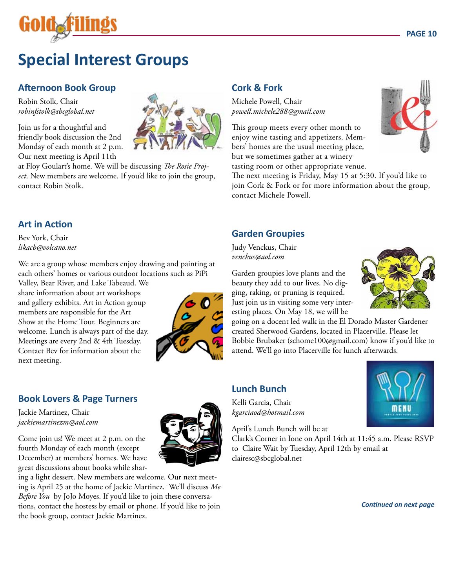

## **Special Interest Groups**

#### **Afternoon Book Group**

Robin Stolk, Chair *robinfstolk@sbcglobal.net*

Join us for a thoughtful and friendly book discussion the 2nd Monday of each month at 2 p.m. Our next meeting is April 11th

at Floy Goulart's home. We will be discussing *The Rosie Project*. New members are welcome. If you'd like to join the group, contact Robin Stolk.

#### **Art in Action**

Bev York, Chair *likacb@volcano.net*

We are a group whose members enjoy drawing and painting at each others' homes or various outdoor locations such as PiPi

Valley, Bear River, and Lake Tabeaud. We share information about art workshops and gallery exhibits. Art in Action group members are responsible for the Art Show at the Home Tour. Beginners are welcome. Lunch is always part of the day. Meetings are every 2nd & 4th Tuesday. Contact Bev for information about the next meeting.



#### **Book Lovers & Page Turners**

Jackie Martinez, Chair *jackiemartinezm@aol.com*

Come join us! We meet at 2 p.m. on the fourth Monday of each month (except December) at members' homes. We have great discussions about books while shar-

ing a light dessert. New members are welcome. Our next meeting is April 25 at the home of Jackie Martinez. We'll discuss *Me Before You* by JoJo Moyes. If you'd like to join these conversations, contact the hostess by email or phone. If you'd like to join the book group, contact Jackie Martinez.

#### **Cork & Fork**

Michele Powell, Chair *powell.michele288@gmail.com*

This group meets every other month to enjoy wine tasting and appetizers. Members' homes are the usual meeting place, but we sometimes gather at a winery tasting room or other appropriate venue.

The next meeting is Friday, May 15 at 5:30. If you'd like to join Cork & Fork or for more information about the group, contact Michele Powell.

#### **Garden Groupies**

Judy Venckus, Chair *venckus@aol.com*

Garden groupies love plants and the beauty they add to our lives. No digging, raking, or pruning is required. Just join us in visiting some very interesting places. On May 18, we will be

going on a docent led walk in the El Dorado Master Gardener created Sherwood Gardens, located in Placerville. Please let Bobbie Brubaker (schome100@gmail.com) know if you'd like to attend. We'll go into Placerville for lunch afterwards.

#### **Lunch Bunch**

Kelli Garcia, Chair *kgarciaod@hotmail.com* 

April's Lunch Bunch will be at

Clark's Corner in Ione on April 14th at 11:45 a.m. Please RSVP to Claire Wait by Tuesday, April 12th by email at clairesc@sbcglobal.net









*Continued on next page*